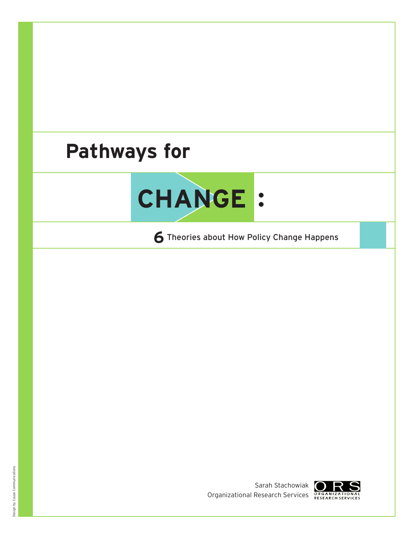# **Pathways for**



**6**Theories about How Policy Change Happens



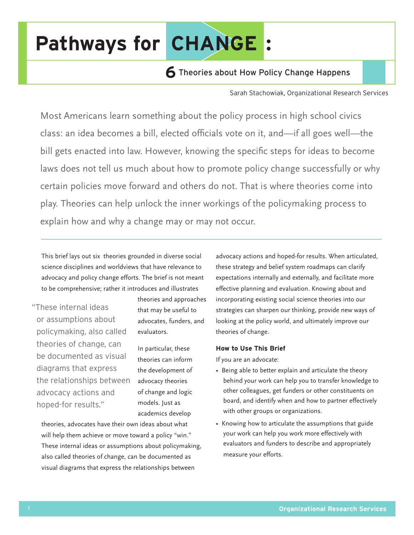# **Pathways for CHANGE:**

# **6** Theories about How Policy Change Happens

Sarah Stachowiak, Organizational Research Services

Most Americans learn something about the policy process in high school civics class: an idea becomes a bill, elected officials vote on it, and—if all goes well—the bill gets enacted into law. However, knowing the specific steps for ideas to become laws does not tell us much about how to promote policy change successfully or why certain policies move forward and others do not. That is where theories come into play. Theories can help unlock the inner workings of the policymaking process to explain how and why a change may or may not occur.

This brief lays out six theories grounded in diverse social science disciplines and worldviews that have relevance to advocacy and policy change efforts. The brief is not meant to be comprehensive; rather it introduces and illustrates

"These internal ideas or assumptions about policymaking, also called theories of change, can be documented as visual diagrams that express the relationships between advocacy actions and hoped-for results."

theories and approaches that may be useful to advocates, funders, and evaluators.

In particular, these theories can inform the development of advocacy theories of change and logic models. Just as academics develop

theories, advocates have their own ideas about what will help them achieve or move toward a policy "win." These internal ideas or assumptions about policymaking, also called theories of change, can be documented as visual diagrams that express the relationships between

advocacy actions and hoped-for results. When articulated, these strategy and belief system roadmaps can clarify expectations internally and externally, and facilitate more effective planning and evaluation. Knowing about and incorporating existing social science theories into our strategies can sharpen our thinking, provide new ways of looking at the policy world, and ultimately improve our theories of change.

#### **How to Use This Brief**

If you are an advocate:

- Being able to better explain and articulate the theory behind your work can help you to transfer knowledge to other colleagues, get funders or other constituents on board, and identify when and how to partner effectively with other groups or organizations.
- Knowing how to articulate the assumptions that guide your work can help you work more effectively with evaluators and funders to describe and appropriately measure your efforts.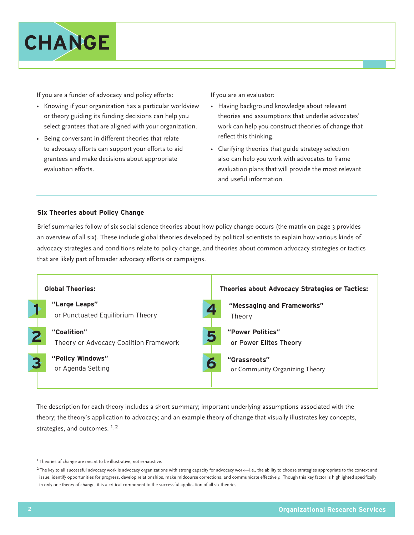

If you are a funder of advocacy and policy efforts:

- Knowing if your organization has a particular worldview or theory guiding its funding decisions can help you select grantees that are aligned with your organization.
- Being conversant in different theories that relate to advocacy efforts can support your efforts to aid grantees and make decisions about appropriate evaluation efforts.

If you are an evaluator:

- Having background knowledge about relevant theories and assumptions that underlie advocates' work can help you construct theories of change that reflect this thinking.
- Clarifying theories that guide strategy selection also can help you work with advocates to frame evaluation plans that will provide the most relevant and useful information.

#### **Six Theories about Policy Change**

Brief summaries follow of six social science theories about how policy change occurs (the matrix on page 3 provides an overview of all six). These include global theories developed by political scientists to explain how various kinds of advocacy strategies and conditions relate to policy change, and theories about common advocacy strategies or tactics that are likely part of broader advocacy efforts or campaigns.



The description for each theory includes a short summary; important underlying assumptions associated with the theory; the theory's application to advocacy; and an example theory of change that visually illustrates key concepts, strategies, and outcomes. <sup>1,2</sup>

<sup>&</sup>lt;sup>1</sup> Theories of change are meant to be illustrative, not exhaustive.

<sup>&</sup>lt;sup>2</sup> The key to all successful advocacy work is advocacy organizations with strong capacity for advocacy work—i.e., the ability to choose strategies appropriate to the context and issue, identify opportunities for progress, develop relationships, make midcourse corrections, and communicate effectively. Though this key factor is highlighted specifically in only one theory of change, it is a critical component to the successful application of all six theories.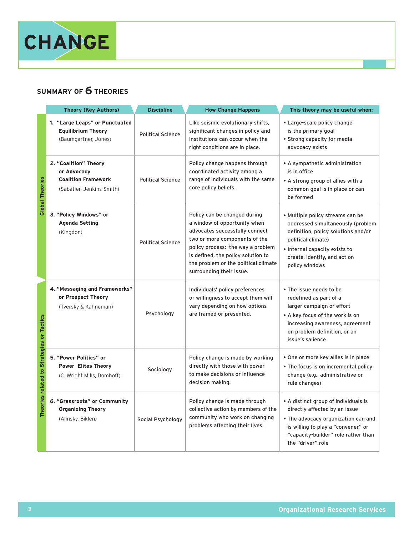

## **SUMMARY OF 6 THEORIES**

|                                           | <b>Theory (Key Authors)</b>                                                                     | <b>Discipline</b>        | <b>How Change Happens</b>                                                                                                                                                                                                                                                      | This theory may be useful when:                                                                                                                                                                                       |
|-------------------------------------------|-------------------------------------------------------------------------------------------------|--------------------------|--------------------------------------------------------------------------------------------------------------------------------------------------------------------------------------------------------------------------------------------------------------------------------|-----------------------------------------------------------------------------------------------------------------------------------------------------------------------------------------------------------------------|
| <b>Global Theories</b>                    | 1. "Large Leaps" or Punctuated<br><b>Equilibrium Theory</b><br>(Baumgartner, Jones)             | <b>Political Science</b> | Like seismic evolutionary shifts,<br>significant changes in policy and<br>institutions can occur when the<br>right conditions are in place.                                                                                                                                    | • Large-scale policy change<br>is the primary goal<br>• Strong capacity for media<br>advocacy exists                                                                                                                  |
|                                           | 2. "Coalition" Theory<br>or Advocacy<br><b>Coalition Framework</b><br>(Sabatier, Jenkins-Smith) | <b>Political Science</b> | Policy change happens through<br>coordinated activity among a<br>range of individuals with the same<br>core policy beliefs.                                                                                                                                                    | • A sympathetic administration<br>is in office<br>• A strong group of allies with a<br>common goal is in place or can<br>be formed                                                                                    |
|                                           | 3. "Policy Windows" or<br><b>Agenda Setting</b><br>(Kingdon)                                    | <b>Political Science</b> | Policy can be changed during<br>a window of opportunity when<br>advocates successfully connect<br>two or more components of the<br>policy process: the way a problem<br>is defined, the policy solution to<br>the problem or the political climate<br>surrounding their issue. | . Multiple policy streams can be<br>addressed simultaneously (problem<br>definition, policy solutions and/or<br>political climate)<br>• Internal capacity exists to<br>create, identify, and act on<br>policy windows |
| Theories related to Strategies or Tactics | 4. "Messaging and Frameworks"<br>or Prospect Theory<br>(Tversky & Kahneman)                     | Psychology               | Individuals' policy preferences<br>or willingness to accept them will<br>vary depending on how options<br>are framed or presented.                                                                                                                                             | . The issue needs to be<br>redefined as part of a<br>larger campaign or effort<br>• A key focus of the work is on<br>increasing awareness, agreement<br>on problem definition, or an<br>issue's salience              |
|                                           | 5. "Power Politics" or<br><b>Power Elites Theory</b><br>(C. Wright Mills, Domhoff)              | Sociology                | Policy change is made by working<br>directly with those with power<br>to make decisions or influence<br>decision making.                                                                                                                                                       | • One or more key allies is in place<br>• The focus is on incremental policy<br>change (e.g., administrative or<br>rule changes)                                                                                      |
|                                           | 6. "Grassroots" or Community<br><b>Organizing Theory</b><br>(Alinsky, Biklen)                   | Social Psychology        | Policy change is made through<br>collective action by members of the<br>community who work on changing<br>problems affecting their lives.                                                                                                                                      | • A distinct group of individuals is<br>directly affected by an issue<br>. The advocacy organization can and<br>is willing to play a "convener" or<br>"capacity-builder" role rather than<br>the "driver" role        |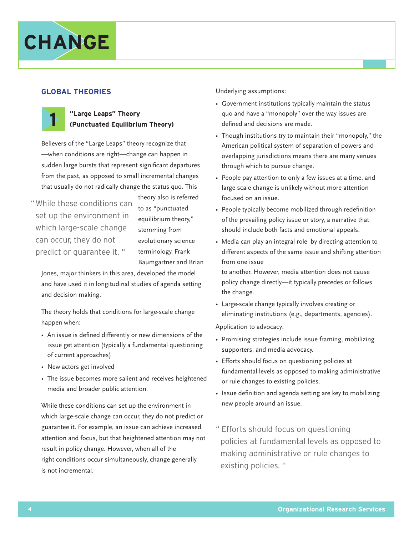# **CHANGE**

#### **GLOBAL THEORIES**



#### **"Large Leaps" Theory (Punctuated Equilibrium Theory)**

Believers of the "Large Leaps" theory recognize that —when conditions are right—change can happen in sudden large bursts that represent significant departures from the past, as opposed to small incremental changes that usually do not radically change the status quo. This

" While these conditions can set up the environment in which large-scale change can occur, they do not predict or guarantee it. "

theory also is referred to as "punctuated equilibrium theory," stemming from evolutionary science terminology. Frank Baumgartner and Brian

Jones, major thinkers in this area, developed the model and have used it in longitudinal studies of agenda setting and decision making.

The theory holds that conditions for large-scale change happen when:

- An issue is defined differently or new dimensions of the issue get attention (typically a fundamental questioning of current approaches)
- New actors get involved
- The issue becomes more salient and receives heightened media and broader public attention.

While these conditions can set up the environment in which large-scale change can occur, they do not predict or guarantee it. For example, an issue can achieve increased attention and focus, but that heightened attention may not result in policy change. However, when all of the right conditions occur simultaneously, change generally is not incremental.

Underlying assumptions:

- Government institutions typically maintain the status quo and have a "monopoly" over the way issues are defined and decisions are made.
- Though institutions try to maintain their "monopoly," the American political system of separation of powers and overlapping jurisdictions means there are many venues through which to pursue change.
- People pay attention to only a few issues at a time, and large scale change is unlikely without more attention focused on an issue.
- People typically become mobilized through redefinition of the prevailing policy issue or story, a narrative that should include both facts and emotional appeals.
- Media can play an integral role by directing attention to different aspects of the same issue and shifting attention from one issue

to another. However, media attention does not cause policy change directly—it typically precedes or follows the change.

• Large-scale change typically involves creating or eliminating institutions (e.g., departments, agencies).

- Promising strategies include issue framing, mobilizing supporters, and media advocacy.
- Efforts should focus on questioning policies at fundamental levels as opposed to making administrative or rule changes to existing policies.
- Issue definition and agenda setting are key to mobilizing new people around an issue.
- " Efforts should focus on questioning policies at fundamental levels as opposed to making administrative or rule changes to existing policies. "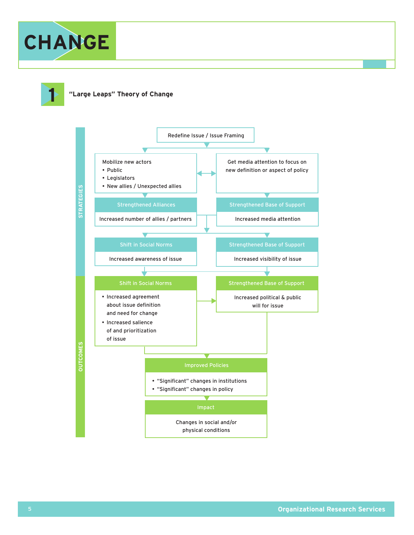



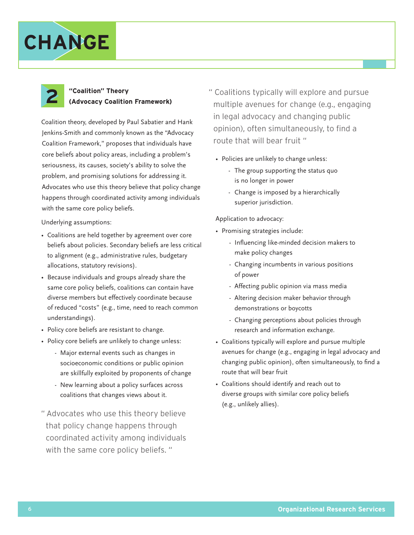



## **"Coalition" Theory (Advocacy Coalition Framework)**

Coalition theory, developed by Paul Sabatier and Hank Jenkins-Smith and commonly known as the "Advocacy Coalition Framework," proposes that individuals have core beliefs about policy areas, including a problem's seriousness, its causes, society's ability to solve the problem, and promising solutions for addressing it. Advocates who use this theory believe that policy change happens through coordinated activity among individuals with the same core policy beliefs.

Underlying assumptions:

- Coalitions are held together by agreement over core beliefs about policies. Secondary beliefs are less critical to alignment (e.g., administrative rules, budgetary allocations, statutory revisions).
- Because individuals and groups already share the same core policy beliefs, coalitions can contain have diverse members but effectively coordinate because of reduced "costs" (e.g., time, need to reach common understandings).
- Policy core beliefs are resistant to change.
- Policy core beliefs are unlikely to change unless:
	- Major external events such as changes in socioeconomic conditions or public opinion are skillfully exploited by proponents of change
	- New learning about a policy surfaces across coalitions that changes views about it.
- " Advocates who use this theory believe that policy change happens through coordinated activity among individuals with the same core policy beliefs. "
- " Coalitions typically will explore and pursue multiple avenues for change (e.g., engaging in legal advocacy and changing public opinion), often simultaneously, to find a route that will bear fruit "
	- Policies are unlikely to change unless:
		- The group supporting the status quo is no longer in power
		- Change is imposed by a hierarchically superior jurisdiction.

- Promising strategies include:
	- Influencing like-minded decision makers to make policy changes
	- Changing incumbents in various positions of power
	- Affecting public opinion via mass media
	- Altering decision maker behavior through demonstrations or boycotts
	- Changing perceptions about policies through research and information exchange.
- Coalitions typically will explore and pursue multiple avenues for change (e.g., engaging in legal advocacy and changing public opinion), often simultaneously, to find a route that will bear fruit
- Coalitions should identify and reach out to diverse groups with similar core policy beliefs (e.g., unlikely allies).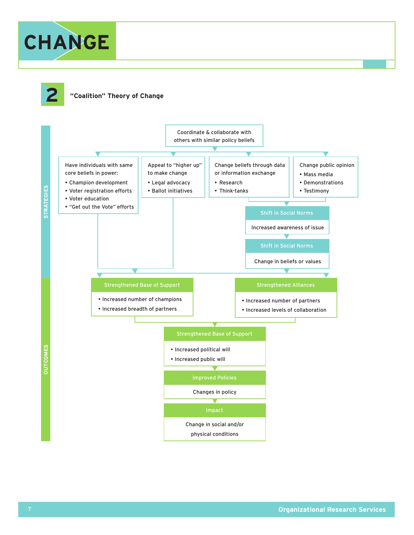



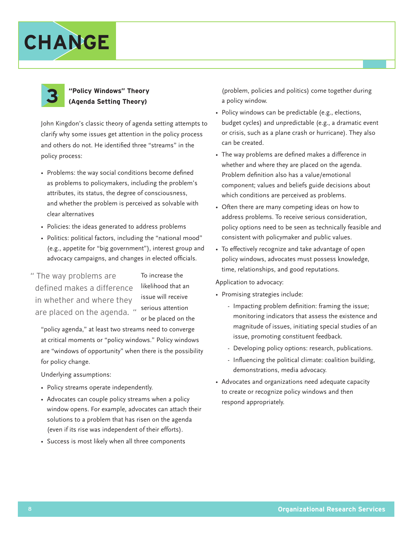



## **"Policy Windows" Theory (Agenda Setting Theory)**

John Kingdon's classic theory of agenda setting attempts to clarify why some issues get attention in the policy process and others do not. He identified three "streams" in the policy process:

- Problems: the way social conditions become defined as problems to policymakers, including the problem's attributes, its status, the degree of consciousness, and whether the problem is perceived as solvable with clear alternatives
- Policies: the ideas generated to address problems
- Politics: political factors, including the "national mood" (e.g., appetite for "big government"), interest group and advocacy campaigns, and changes in elected officials.
- are placed on the agenda. " serious attention " The way problems are defined makes a difference in whether and where they

To increase the likelihood that an issue will receive or be placed on the

"policy agenda," at least two streams need to converge at critical moments or "policy windows." Policy windows are "windows of opportunity" when there is the possibility for policy change.

Underlying assumptions:

- Policy streams operate independently.
- Advocates can couple policy streams when a policy window opens. For example, advocates can attach their solutions to a problem that has risen on the agenda (even if its rise was independent of their efforts).
- Success is most likely when all three components

(problem, policies and politics) come together during a policy window.

- Policy windows can be predictable (e.g., elections, budget cycles) and unpredictable (e.g., a dramatic event or crisis, such as a plane crash or hurricane). They also can be created.
- The way problems are defined makes a difference in whether and where they are placed on the agenda. Problem definition also has a value/emotional component; values and beliefs guide decisions about which conditions are perceived as problems.
- Often there are many competing ideas on how to address problems. To receive serious consideration, policy options need to be seen as technically feasible and consistent with policymaker and public values.
- To effectively recognize and take advantage of open policy windows, advocates must possess knowledge, time, relationships, and good reputations.

- Promising strategies include:
	- Impacting problem definition: framing the issue; monitoring indicators that assess the existence and magnitude of issues, initiating special studies of an issue, promoting constituent feedback.
	- Developing policy options: research, publications.
	- Influencing the political climate: coalition building, demonstrations, media advocacy.
- Advocates and organizations need adequate capacity to create or recognize policy windows and then respond appropriately.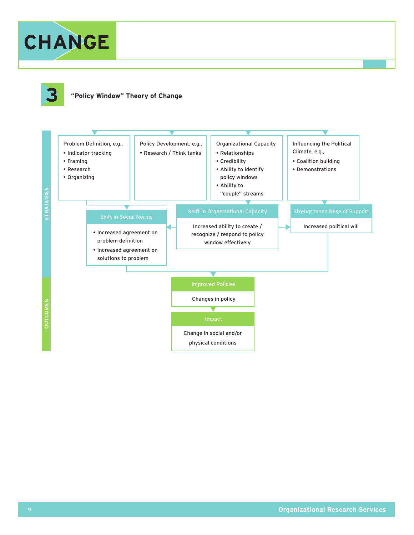



#### **3 "Policy Window" Theory of Change**

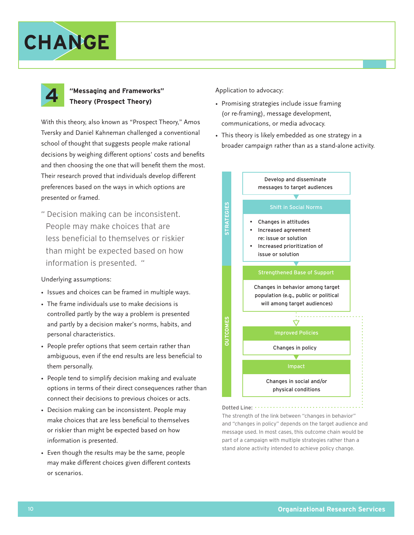



### **"Messaging and Frameworks" Theory (Prospect Theory)**

With this theory, also known as "Prospect Theory," Amos Tversky and Daniel Kahneman challenged a conventional school of thought that suggests people make rational decisions by weighing different options' costs and benefits and then choosing the one that will benefit them the most. Their research proved that individuals develop different preferences based on the ways in which options are presented or framed.

" Decision making can be inconsistent. People may make choices that are less beneficial to themselves or riskier than might be expected based on how information is presented. "

#### Underlying assumptions:

- Issues and choices can be framed in multiple ways.
- The frame individuals use to make decisions is controlled partly by the way a problem is presented and partly by a decision maker's norms, habits, and personal characteristics.
- People prefer options that seem certain rather than ambiguous, even if the end results are less beneficial to them personally.
- People tend to simplify decision making and evaluate options in terms of their direct consequences rather than connect their decisions to previous choices or acts.
- Decision making can be inconsistent. People may make choices that are less beneficial to themselves or riskier than might be expected based on how information is presented.
- Even though the results may be the same, people may make different choices given different contexts or scenarios.

Application to advocacy:

- Promising strategies include issue framing (or re-framing), message development, communications, or media advocacy.
- This theory is likely embedded as one strategy in a broader campaign rather than as a stand-alone activity.



The strength of the link between "changes in behavior" and "changes in policy" depends on the target audience and message used. In most cases, this outcome chain would be part of a campaign with multiple strategies rather than a stand alone activity intended to achieve policy change.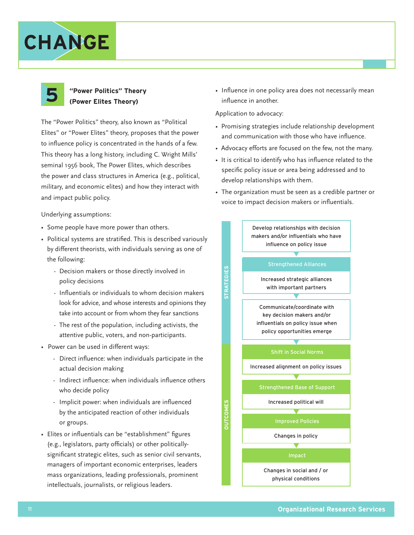# **CHANGE**



#### **"Power Politics" Theory (Power Elites Theory)**

The "Power Politics" theory, also known as "Political Elites" or "Power Elites" theory, proposes that the power to influence policy is concentrated in the hands of a few. This theory has a long history, including C. Wright Mills' seminal 1956 book, The Power Elites, which describes the power and class structures in America (e.g., political, military, and economic elites) and how they interact with and impact public policy.

Underlying assumptions:

- Some people have more power than others.
- Political systems are stratified. This is described variously by different theorists, with individuals serving as one of the following:
	- Decision makers or those directly involved in policy decisions
	- Influentials or individuals to whom decision makers look for advice, and whose interests and opinions they take into account or from whom they fear sanctions
	- The rest of the population, including activists, the attentive public, voters, and non-participants.
- Power can be used in different ways:
	- Direct influence: when individuals participate in the actual decision making
	- Indirect influence: when individuals influence others who decide policy
	- Implicit power: when individuals are influenced by the anticipated reaction of other individuals or groups.
- Elites or influentials can be "establishment" figures (e.g., legislators, party officials) or other politicallysignificant strategic elites, such as senior civil servants, managers of important economic enterprises, leaders mass organizations, leading professionals, prominent intellectuals, journalists, or religious leaders.

• Influence in one policy area does not necessarily mean influence in another.

- Promising strategies include relationship development and communication with those who have influence.
- Advocacy efforts are focused on the few, not the many.
- It is critical to identify who has influence related to the specific policy issue or area being addressed and to develop relationships with them.
- The organization must be seen as a credible partner or voice to impact decision makers or influentials.

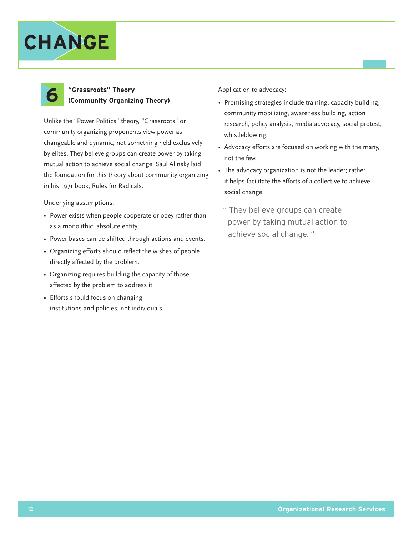



### **"Grassroots" Theory (Community Organizing Theory)**

Unlike the "Power Politics" theory, "Grassroots" or community organizing proponents view power as changeable and dynamic, not something held exclusively by elites. They believe groups can create power by taking mutual action to achieve social change. Saul Alinsky laid the foundation for this theory about community organizing in his 1971 book, Rules for Radicals.

Underlying assumptions:

- Power exists when people cooperate or obey rather than as a monolithic, absolute entity.
- Power bases can be shifted through actions and events.
- Organizing efforts should reflect the wishes of people directly affected by the problem.
- Organizing requires building the capacity of those affected by the problem to address it.
- Efforts should focus on changing institutions and policies, not individuals.

- Promising strategies include training, capacity building, community mobilizing, awareness building, action research, policy analysis, media advocacy, social protest, whistleblowing.
- Advocacy efforts are focused on working with the many, not the few.
- The advocacy organization is not the leader; rather it helps facilitate the efforts of a collective to achieve social change.
	- " They believe groups can create power by taking mutual action to achieve social change. "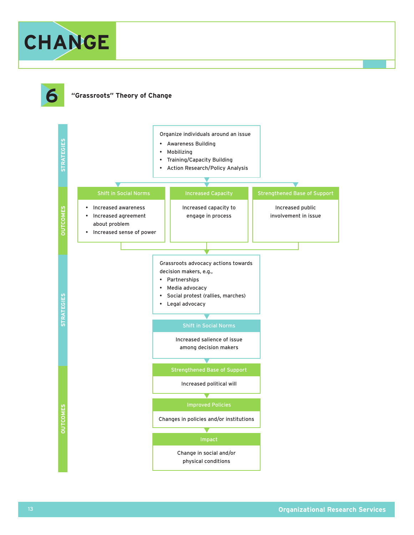